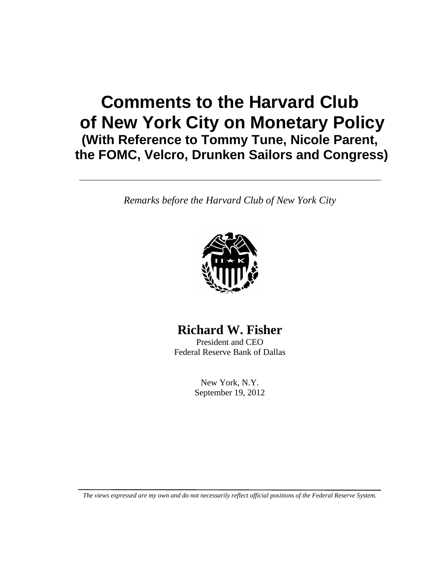# **Comments to the Harvard Club of New York City on Monetary Policy (With Reference to Tommy Tune, Nicole Parent, the FOMC, Velcro, Drunken Sailors and Congress)**

*Remarks before the Harvard Club of New York City*



**Richard W. Fisher**

President and CEO Federal Reserve Bank of Dallas

> New York, N.Y. September 19, 2012

*The views expressed are my own and do not necessarily reflect official positions of the Federal Reserve System.*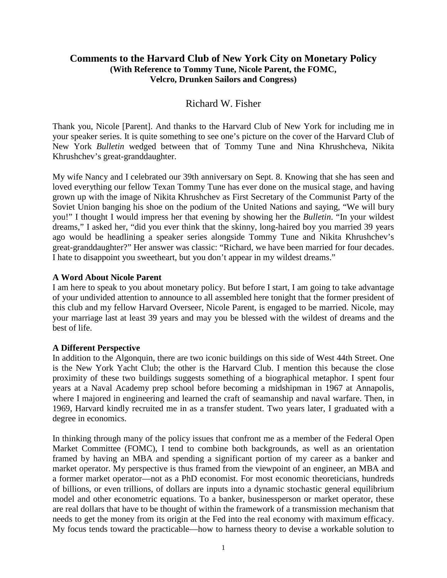## **Comments to the Harvard Club of New York City on Monetary Policy (With Reference to Tommy Tune, Nicole Parent, the FOMC, Velcro, Drunken Sailors and Congress)**

## Richard W. Fisher

Thank you, Nicole [Parent]. And thanks to the Harvard Club of New York for including me in your speaker series. It is quite something to see one's picture on the cover of the Harvard Club of New York *Bulletin* wedged between that of Tommy Tune and Nina Khrushcheva, Nikita Khrushchev's great-granddaughter.

My wife Nancy and I celebrated our 39th anniversary on Sept. 8. Knowing that she has seen and loved everything our fellow Texan Tommy Tune has ever done on the musical stage, and having grown up with the image of Nikita Khrushchev as First Secretary of the Communist Party of the Soviet Union banging his shoe on the podium of the United Nations and saying, "We will bury you!" I thought I would impress her that evening by showing her the *Bulletin*. "In your wildest dreams," I asked her, "did you ever think that the skinny, long-haired boy you married 39 years ago would be headlining a speaker series alongside Tommy Tune and Nikita Khrushchev's great-granddaughter?" Her answer was classic: "Richard, we have been married for four decades. I hate to disappoint you sweetheart, but you don't appear in my wildest dreams."

#### **A Word About Nicole Parent**

I am here to speak to you about monetary policy. But before I start, I am going to take advantage of your undivided attention to announce to all assembled here tonight that the former president of this club and my fellow Harvard Overseer, Nicole Parent, is engaged to be married. Nicole, may your marriage last at least 39 years and may you be blessed with the wildest of dreams and the best of life.

#### **A Different Perspective**

In addition to the Algonquin, there are two iconic buildings on this side of West 44th Street. One is the New York Yacht Club; the other is the Harvard Club. I mention this because the close proximity of these two buildings suggests something of a biographical metaphor. I spent four years at a Naval Academy prep school before becoming a midshipman in 1967 at Annapolis, where I majored in engineering and learned the craft of seamanship and naval warfare. Then, in 1969, Harvard kindly recruited me in as a transfer student. Two years later, I graduated with a degree in economics.

In thinking through many of the policy issues that confront me as a member of the Federal Open Market Committee (FOMC), I tend to combine both backgrounds, as well as an orientation framed by having an MBA and spending a significant portion of my career as a banker and market operator. My perspective is thus framed from the viewpoint of an engineer, an MBA and a former market operator—not as a PhD economist. For most economic theoreticians, hundreds of billions, or even trillions, of dollars are inputs into a dynamic stochastic general equilibrium model and other econometric equations. To a banker, businessperson or market operator, these are real dollars that have to be thought of within the framework of a transmission mechanism that needs to get the money from its origin at the Fed into the real economy with maximum efficacy. My focus tends toward the practicable—how to harness theory to devise a workable solution to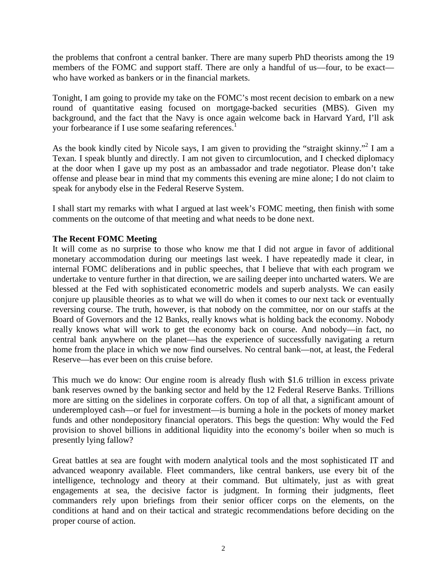the problems that confront a central banker. There are many superb PhD theorists among the 19 members of the FOMC and support staff. There are only a handful of us—four, to be exact who have worked as bankers or in the financial markets.

Tonight, I am going to provide my take on the FOMC's most recent decision to embark on a new round of quantitative easing focused on mortgage-backed securities (MBS). Given my background, and the fact that the Navy is once again welcome back in Harvard Yard, I'll ask your forbearance if I use some seafaring references.<sup>1</sup>

As the book kindly cited by Nicole says, I am given to providing the "straight skinny."<sup>2</sup> I am a Texan. I speak bluntly and directly. I am not given to circumlocution, and I checked diplomacy at the door when I gave up my post as an ambassador and trade negotiator. Please don't take offense and please bear in mind that my comments this evening are mine alone; I do not claim to speak for anybody else in the Federal Reserve System.

I shall start my remarks with what I argued at last week's FOMC meeting, then finish with some comments on the outcome of that meeting and what needs to be done next.

### **The Recent FOMC Meeting**

It will come as no surprise to those who know me that I did not argue in favor of additional monetary accommodation during our meetings last week. I have repeatedly made it clear, in internal FOMC deliberations and in public speeches, that I believe that with each program we undertake to venture further in that direction, we are sailing deeper into uncharted waters. We are blessed at the Fed with sophisticated econometric models and superb analysts. We can easily conjure up plausible theories as to what we will do when it comes to our next tack or eventually reversing course. The truth, however, is that nobody on the committee, nor on our staffs at the Board of Governors and the 12 Banks, really knows what is holding back the economy. Nobody really knows what will work to get the economy back on course. And nobody—in fact, no central bank anywhere on the planet—has the experience of successfully navigating a return home from the place in which we now find ourselves. No central bank—not, at least, the Federal Reserve—has ever been on this cruise before.

This much we do know: Our engine room is already flush with \$1.6 trillion in excess private bank reserves owned by the banking sector and held by the 12 Federal Reserve Banks. Trillions more are sitting on the sidelines in corporate coffers. On top of all that, a significant amount of underemployed cash—or fuel for investment—is burning a hole in the pockets of money market funds and other nondepository financial operators. This begs the question: Why would the Fed provision to shovel billions in additional liquidity into the economy's boiler when so much is presently lying fallow?

Great battles at sea are fought with modern analytical tools and the most sophisticated IT and advanced weaponry available. Fleet commanders, like central bankers, use every bit of the intelligence, technology and theory at their command. But ultimately, just as with great engagements at sea, the decisive factor is judgment. In forming their judgments, fleet commanders rely upon briefings from their senior officer corps on the elements, on the conditions at hand and on their tactical and strategic recommendations before deciding on the proper course of action.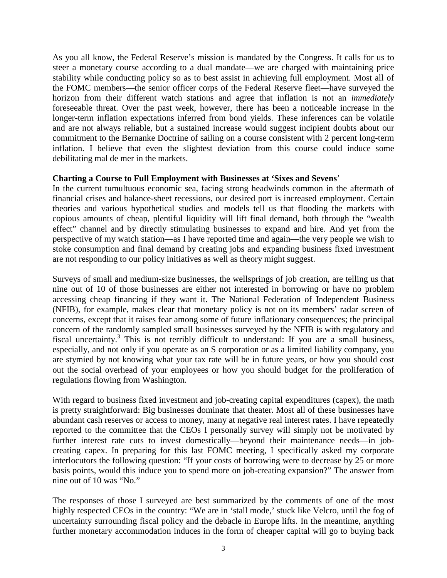As you all know, the Federal Reserve's mission is mandated by the Congress. It calls for us to steer a monetary course according to a dual mandate—we are charged with maintaining price stability while conducting policy so as to best assist in achieving full employment. Most all of the FOMC members—the senior officer corps of the Federal Reserve fleet—have surveyed the horizon from their different watch stations and agree that inflation is not an *immediately* foreseeable threat. Over the past week, however, there has been a noticeable increase in the longer-term inflation expectations inferred from bond yields. These inferences can be volatile and are not always reliable, but a sustained increase would suggest incipient doubts about our commitment to the Bernanke Doctrine of sailing on a course consistent with 2 percent long-term inflation. I believe that even the slightest deviation from this course could induce some debilitating mal de mer in the markets.

#### **Charting a Course to Full Employment with Businesses at 'Sixes and Sevens**'

In the current tumultuous economic sea, facing strong headwinds common in the aftermath of financial crises and balance-sheet recessions, our desired port is increased employment. Certain theories and various hypothetical studies and models tell us that flooding the markets with copious amounts of cheap, plentiful liquidity will lift final demand, both through the "wealth effect" channel and by directly stimulating businesses to expand and hire. And yet from the perspective of my watch station—as I have reported time and again—the very people we wish to stoke consumption and final demand by creating jobs and expanding business fixed investment are not responding to our policy initiatives as well as theory might suggest.

Surveys of small and medium-size businesses, the wellsprings of job creation, are telling us that nine out of 10 of those businesses are either not interested in borrowing or have no problem accessing cheap financing if they want it. The National Federation of Independent Business (NFIB), for example, makes clear that monetary policy is not on its members' radar screen of concerns, except that it raises fear among some of future inflationary consequences; the principal concern of the randomly sampled small businesses surveyed by the NFIB is with regulatory and fiscal uncertainty.3 This is not terribly difficult to understand: If you are a small business, especially, and not only if you operate as an S corporation or as a limited liability company, you are stymied by not knowing what your tax rate will be in future years, or how you should cost out the social overhead of your employees or how you should budget for the proliferation of regulations flowing from Washington.

With regard to business fixed investment and job-creating capital expenditures (capex), the math is pretty straightforward: Big businesses dominate that theater. Most all of these businesses have abundant cash reserves or access to money, many at negative real interest rates. I have repeatedly reported to the committee that the CEOs I personally survey will simply not be motivated by further interest rate cuts to invest domestically—beyond their maintenance needs—in jobcreating capex. In preparing for this last FOMC meeting, I specifically asked my corporate interlocutors the following question: "If your costs of borrowing were to decrease by 25 or more basis points, would this induce you to spend more on job-creating expansion?" The answer from nine out of 10 was "No."

The responses of those I surveyed are best summarized by the comments of one of the most highly respected CEOs in the country: "We are in 'stall mode,' stuck like Velcro, until the fog of uncertainty surrounding fiscal policy and the debacle in Europe lifts. In the meantime, anything further monetary accommodation induces in the form of cheaper capital will go to buying back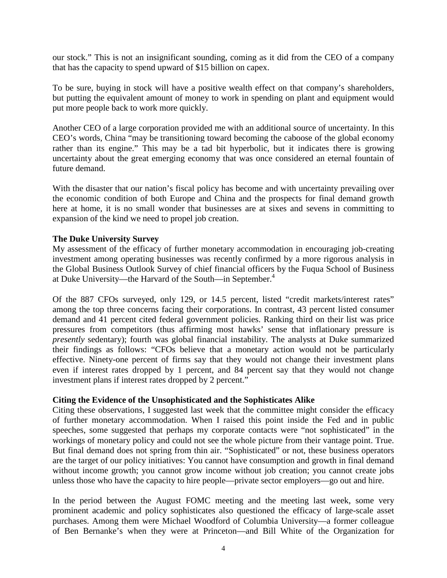our stock." This is not an insignificant sounding, coming as it did from the CEO of a company that has the capacity to spend upward of \$15 billion on capex.

To be sure, buying in stock will have a positive wealth effect on that company's shareholders, but putting the equivalent amount of money to work in spending on plant and equipment would put more people back to work more quickly.

Another CEO of a large corporation provided me with an additional source of uncertainty. In this CEO's words, China "may be transitioning toward becoming the caboose of the global economy rather than its engine." This may be a tad bit hyperbolic, but it indicates there is growing uncertainty about the great emerging economy that was once considered an eternal fountain of future demand.

With the disaster that our nation's fiscal policy has become and with uncertainty prevailing over the economic condition of both Europe and China and the prospects for final demand growth here at home, it is no small wonder that businesses are at sixes and sevens in committing to expansion of the kind we need to propel job creation.

#### **The Duke University Survey**

My assessment of the efficacy of further monetary accommodation in encouraging job-creating investment among operating businesses was recently confirmed by a more rigorous analysis in the Global Business Outlook Survey of chief financial officers by the Fuqua School of Business at Duke University—the Harvard of the South—in September.<sup>4</sup>

Of the 887 CFOs surveyed, only 129, or 14.5 percent, listed "credit markets/interest rates" among the top three concerns facing their corporations. In contrast, 43 percent listed consumer demand and 41 percent cited federal government policies. Ranking third on their list was price pressures from competitors (thus affirming most hawks' sense that inflationary pressure is *presently* sedentary); fourth was global financial instability. The analysts at Duke summarized their findings as follows: "CFOs believe that a monetary action would not be particularly effective. Ninety-one percent of firms say that they would not change their investment plans even if interest rates dropped by 1 percent, and 84 percent say that they would not change investment plans if interest rates dropped by 2 percent."

#### **Citing the Evidence of the Unsophisticated and the Sophisticates Alike**

Citing these observations, I suggested last week that the committee might consider the efficacy of further monetary accommodation. When I raised this point inside the Fed and in public speeches, some suggested that perhaps my corporate contacts were "not sophisticated" in the workings of monetary policy and could not see the whole picture from their vantage point. True. But final demand does not spring from thin air. "Sophisticated" or not, these business operators are the target of our policy initiatives: You cannot have consumption and growth in final demand without income growth; you cannot grow income without job creation; you cannot create jobs unless those who have the capacity to hire people—private sector employers—go out and hire.

In the period between the August FOMC meeting and the meeting last week, some very prominent academic and policy sophisticates also questioned the efficacy of large-scale asset purchases. Among them were Michael Woodford of Columbia University—a former colleague of Ben Bernanke's when they were at Princeton—and Bill White of the Organization for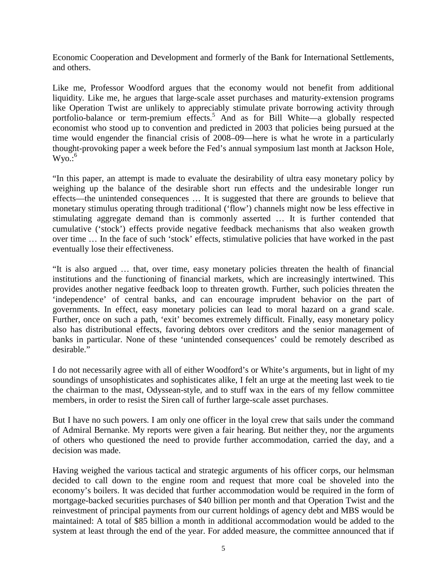Economic Cooperation and Development and formerly of the Bank for International Settlements, and others.

Like me, Professor Woodford argues that the economy would not benefit from additional liquidity. Like me, he argues that large-scale asset purchases and maturity-extension programs like Operation Twist are unlikely to appreciably stimulate private borrowing activity through portfolio-balance or term-premium effects.<sup>5</sup> And as for Bill White—a globally respected economist who stood up to convention and predicted in 2003 that policies being pursued at the time would engender the financial crisis of 2008–09—here is what he wrote in a particularly thought-provoking paper a week before the Fed's annual symposium last month at Jackson Hole,  $W$ yo.: $^6$ 

"In this paper, an attempt is made to evaluate the desirability of ultra easy monetary policy by weighing up the balance of the desirable short run effects and the undesirable longer run effects—the unintended consequences … It is suggested that there are grounds to believe that monetary stimulus operating through traditional ('flow') channels might now be less effective in stimulating aggregate demand than is commonly asserted … It is further contended that cumulative ('stock') effects provide negative feedback mechanisms that also weaken growth over time … In the face of such 'stock' effects, stimulative policies that have worked in the past eventually lose their effectiveness.

"It is also argued … that, over time, easy monetary policies threaten the health of financial institutions and the functioning of financial markets, which are increasingly intertwined. This provides another negative feedback loop to threaten growth. Further, such policies threaten the 'independence' of central banks, and can encourage imprudent behavior on the part of governments. In effect, easy monetary policies can lead to moral hazard on a grand scale. Further, once on such a path, 'exit' becomes extremely difficult. Finally, easy monetary policy also has distributional effects, favoring debtors over creditors and the senior management of banks in particular. None of these 'unintended consequences' could be remotely described as desirable."

I do not necessarily agree with all of either Woodford's or White's arguments, but in light of my soundings of unsophisticates and sophisticates alike, I felt an urge at the meeting last week to tie the chairman to the mast, Odyssean-style, and to stuff wax in the ears of my fellow committee members, in order to resist the Siren call of further large-scale asset purchases.

But I have no such powers. I am only one officer in the loyal crew that sails under the command of Admiral Bernanke. My reports were given a fair hearing. But neither they, nor the arguments of others who questioned the need to provide further accommodation, carried the day, and a decision was made.

Having weighed the various tactical and strategic arguments of his officer corps, our helmsman decided to call down to the engine room and request that more coal be shoveled into the economy's boilers. It was decided that further accommodation would be required in the form of mortgage-backed securities purchases of \$40 billion per month and that Operation Twist and the reinvestment of principal payments from our current holdings of agency debt and MBS would be maintained: A total of \$85 billion a month in additional accommodation would be added to the system at least through the end of the year. For added measure, the committee announced that if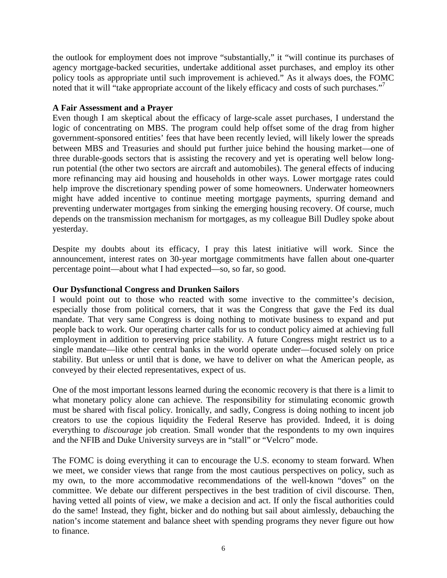the outlook for employment does not improve "substantially," it "will continue its purchases of agency mortgage-backed securities, undertake additional asset purchases, and employ its other policy tools as appropriate until such improvement is achieved." As it always does, the FOMC noted that it will "take appropriate account of the likely efficacy and costs of such purchases."

#### **A Fair Assessment and a Prayer**

Even though I am skeptical about the efficacy of large-scale asset purchases, I understand the logic of concentrating on MBS. The program could help offset some of the drag from higher government-sponsored entities' fees that have been recently levied, will likely lower the spreads between MBS and Treasuries and should put further juice behind the housing market—one of three durable-goods sectors that is assisting the recovery and yet is operating well below longrun potential (the other two sectors are aircraft and automobiles). The general effects of inducing more refinancing may aid housing and households in other ways. Lower mortgage rates could help improve the discretionary spending power of some homeowners. Underwater homeowners might have added incentive to continue meeting mortgage payments, spurring demand and preventing underwater mortgages from sinking the emerging housing recovery. Of course, much depends on the transmission mechanism for mortgages, as my colleague Bill Dudley spoke about yesterday.

Despite my doubts about its efficacy, I pray this latest initiative will work. Since the announcement, interest rates on 30-year mortgage commitments have fallen about one-quarter percentage point—about what I had expected—so, so far, so good.

#### **Our Dysfunctional Congress and Drunken Sailors**

I would point out to those who reacted with some invective to the committee's decision, especially those from political corners, that it was the Congress that gave the Fed its dual mandate. That very same Congress is doing nothing to motivate business to expand and put people back to work. Our operating charter calls for us to conduct policy aimed at achieving full employment in addition to preserving price stability. A future Congress might restrict us to a single mandate—like other central banks in the world operate under—focused solely on price stability. But unless or until that is done, we have to deliver on what the American people, as conveyed by their elected representatives, expect of us.

One of the most important lessons learned during the economic recovery is that there is a limit to what monetary policy alone can achieve. The responsibility for stimulating economic growth must be shared with fiscal policy. Ironically, and sadly, Congress is doing nothing to incent job creators to use the copious liquidity the Federal Reserve has provided. Indeed, it is doing everything to *discourage* job creation. Small wonder that the respondents to my own inquires and the NFIB and Duke University surveys are in "stall" or "Velcro" mode.

The FOMC is doing everything it can to encourage the U.S. economy to steam forward. When we meet, we consider views that range from the most cautious perspectives on policy, such as my own, to the more accommodative recommendations of the well-known "doves" on the committee. We debate our different perspectives in the best tradition of civil discourse. Then, having vetted all points of view, we make a decision and act. If only the fiscal authorities could do the same! Instead, they fight, bicker and do nothing but sail about aimlessly, debauching the nation's income statement and balance sheet with spending programs they never figure out how to finance.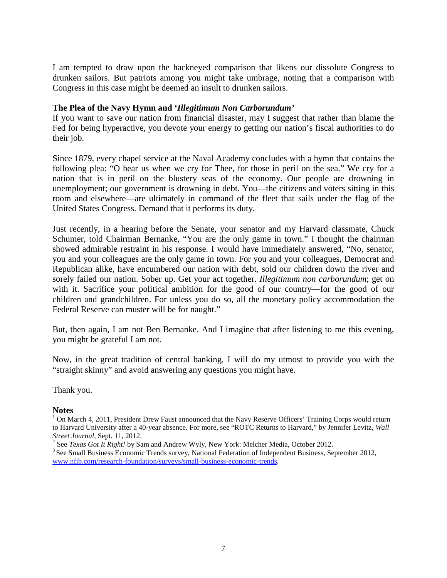I am tempted to draw upon the hackneyed comparison that likens our dissolute Congress to drunken sailors. But patriots among you might take umbrage, noting that a comparison with Congress in this case might be deemed an insult to drunken sailors.

#### **The Plea of the Navy Hymn and '***Illegitimum Non Carborundum'*

If you want to save our nation from financial disaster, may I suggest that rather than blame the Fed for being hyperactive, you devote your energy to getting our nation's fiscal authorities to do their job.

Since 1879, every chapel service at the Naval Academy concludes with a hymn that contains the following plea: "O hear us when we cry for Thee, for those in peril on the sea." We cry for a nation that is in peril on the blustery seas of the economy. Our people are drowning in unemployment; our government is drowning in debt. You—the citizens and voters sitting in this room and elsewhere—are ultimately in command of the fleet that sails under the flag of the United States Congress. Demand that it performs its duty.

Just recently, in a hearing before the Senate, your senator and my Harvard classmate, Chuck Schumer, told Chairman Bernanke, "You are the only game in town." I thought the chairman showed admirable restraint in his response. I would have immediately answered, "No, senator, you and your colleagues are the only game in town. For you and your colleagues, Democrat and Republican alike, have encumbered our nation with debt, sold our children down the river and sorely failed our nation. Sober up. Get your act together. *Illegitimum non carborundum*; get on with it. Sacrifice your political ambition for the good of our country—for the good of our children and grandchildren. For unless you do so, all the monetary policy accommodation the Federal Reserve can muster will be for naught."

But, then again, I am not Ben Bernanke. And I imagine that after listening to me this evening, you might be grateful I am not.

Now, in the great tradition of central banking, I will do my utmost to provide you with the "straight skinny" and avoid answering any questions you might have.

Thank you.

#### **Notes**

<sup>1</sup> On March 4, 2011, President Drew Faust announced that the Navy Reserve Officers' Training Corps would return to Harvard University after a 40-year absence. For more, see "ROTC Returns to Harvard," by Jennifer Levitz, *Wall* 

<sup>&</sup>lt;sup>2</sup> See *Texas Got It Right!* by Sam and Andrew Wyly, New York: Melcher Media, October 2012.<br><sup>3</sup> See Small Business Economic Trends survey, National Federation of Independent Business, September 2012,

[www.nfib.com/research-foundation/surveys/small-business-economic-trends.](http://www.nfib.com/research-foundation/surveys/small-business-economic-trends)